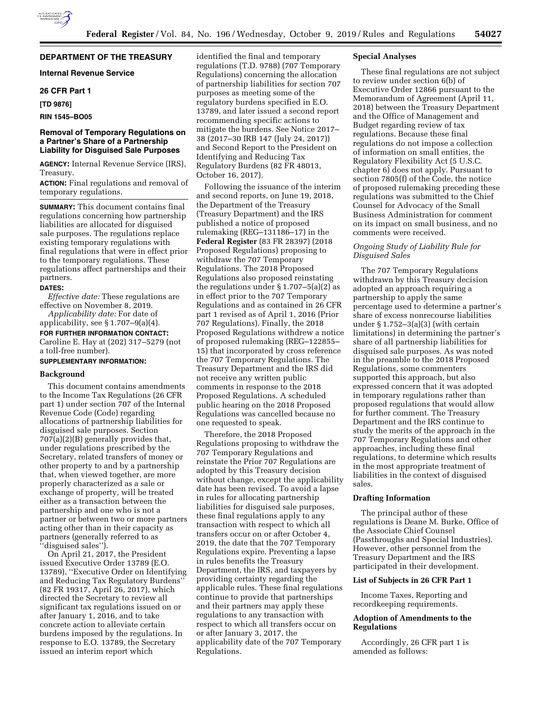## **DEPARTMENT OF THE TREASURY**

## **Internal Revenue Service**

### **26 CFR Part 1**

**[TD 9876]** 

**RIN 1545–BO05** 

### **Removal of Temporary Regulations on a Partner's Share of a Partnership Liability for Disguised Sale Purposes**

**AGENCY:** Internal Revenue Service (IRS), Treasury.

**ACTION:** Final regulations and removal of temporary regulations.

**SUMMARY:** This document contains final regulations concerning how partnership liabilities are allocated for disguised sale purposes. The regulations replace existing temporary regulations with final regulations that were in effect prior to the temporary regulations. These regulations affect partnerships and their partners.

#### **DATES:**

*Effective date:* These regulations are effective on November 8, 2019.

*Applicability date:* For date of applicability, see § 1.707–9(a)(4).

**FOR FURTHER INFORMATION CONTACT:**  Caroline E. Hay at (202) 317–5279 (not a toll-free number).

### **SUPPLEMENTARY INFORMATION:**

#### **Background**

This document contains amendments to the Income Tax Regulations (26 CFR part 1) under section 707 of the Internal Revenue Code (Code) regarding allocations of partnership liabilities for disguised sale purposes. Section 707(a)(2)(B) generally provides that, under regulations prescribed by the Secretary, related transfers of money or other property to and by a partnership that, when viewed together, are more properly characterized as a sale or exchange of property, will be treated either as a transaction between the partnership and one who is not a partner or between two or more partners acting other than in their capacity as partners (generally referred to as ''disguised sales'').

On April 21, 2017, the President issued Executive Order 13789 (E.O. 13789), ''Executive Order on Identifying and Reducing Tax Regulatory Burdens'' (82 FR 19317, April 26, 2017), which directed the Secretary to review all significant tax regulations issued on or after January 1, 2016, and to take concrete action to alleviate certain burdens imposed by the regulations. In response to E.O. 13789, the Secretary issued an interim report which

identified the final and temporary regulations (T.D. 9788) (707 Temporary Regulations) concerning the allocation of partnership liabilities for section 707 purposes as meeting some of the regulatory burdens specified in E.O. 13789, and later issued a second report recommending specific actions to mitigate the burdens. See Notice 2017– 38 (2017–30 IRB 147 (July 24, 2017)) and Second Report to the President on Identifying and Reducing Tax Regulatory Burdens (82 FR 48013, October 16, 2017).

Following the issuance of the interim and second reports, on June 19, 2018, the Department of the Treasury (Treasury Department) and the IRS published a notice of proposed rulemaking (REG–131186–17) in the **Federal Register** (83 FR 28397) (2018 Proposed Regulations) proposing to withdraw the 707 Temporary Regulations. The 2018 Proposed Regulations also proposed reinstating the regulations under  $\S 1.707 - 5(a)(2)$  as in effect prior to the 707 Temporary Regulations and as contained in 26 CFR part 1 revised as of April 1, 2016 (Prior 707 Regulations). Finally, the 2018 Proposed Regulations withdrew a notice of proposed rulemaking (REG–122855– 15) that incorporated by cross reference the 707 Temporary Regulations. The Treasury Department and the IRS did not receive any written public comments in response to the 2018 Proposed Regulations. A scheduled public hearing on the 2018 Proposed Regulations was cancelled because no one requested to speak.

Therefore, the 2018 Proposed Regulations proposing to withdraw the 707 Temporary Regulations and reinstate the Prior 707 Regulations are adopted by this Treasury decision without change, except the applicability date has been revised. To avoid a lapse in rules for allocating partnership liabilities for disguised sale purposes, these final regulations apply to any transaction with respect to which all transfers occur on or after October 4, 2019, the date that the 707 Temporary Regulations expire. Preventing a lapse in rules benefits the Treasury Department, the IRS, and taxpayers by providing certainty regarding the applicable rules. These final regulations continue to provide that partnerships and their partners may apply these regulations to any transaction with respect to which all transfers occur on or after January 3, 2017, the applicability date of the 707 Temporary Regulations.

## **Special Analyses**

These final regulations are not subject to review under section 6(b) of Executive Order 12866 pursuant to the Memorandum of Agreement (April 11, 2018) between the Treasury Department and the Office of Management and Budget regarding review of tax regulations. Because these final regulations do not impose a collection of information on small entities, the Regulatory Flexibility Act (5 U.S.C. chapter 6) does not apply. Pursuant to section 7805(f) of the Code, the notice of proposed rulemaking preceding these regulations was submitted to the Chief Counsel for Advocacy of the Small Business Administration for comment on its impact on small business, and no comments were received.

## *Ongoing Study of Liability Rule for Disguised Sales*

The 707 Temporary Regulations withdrawn by this Treasury decision adopted an approach requiring a partnership to apply the same percentage used to determine a partner's share of excess nonrecourse liabilities under  $\S 1.752-3(a)(3)$  (with certain limitations) in determining the partner's share of all partnership liabilities for disguised sale purposes. As was noted in the preamble to the 2018 Proposed Regulations, some commenters supported this approach, but also expressed concern that it was adopted in temporary regulations rather than proposed regulations that would allow for further comment. The Treasury Department and the IRS continue to study the merits of the approach in the 707 Temporary Regulations and other approaches, including these final regulations, to determine which results in the most appropriate treatment of liabilities in the context of disguised sales.

#### **Drafting Information**

The principal author of these regulations is Deane M. Burke, Office of the Associate Chief Counsel (Passthroughs and Special Industries). However, other personnel from the Treasury Department and the IRS participated in their development.

## **List of Subjects in 26 CFR Part 1**

Income Taxes, Reporting and recordkeeping requirements.

## **Adoption of Amendments to the Regulations**

Accordingly, 26 CFR part 1 is amended as follows: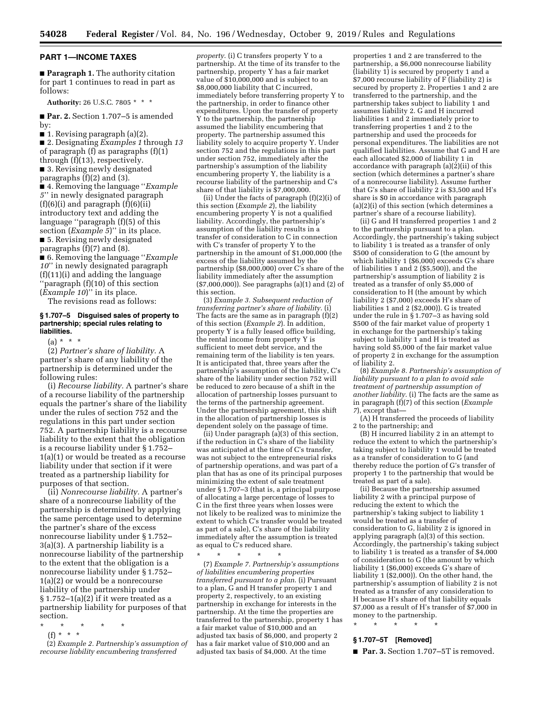#### **PART 1—INCOME TAXES**

■ **Paragraph 1.** The authority citation for part 1 continues to read in part as follows:

**Authority:** 26 U.S.C. 7805 \* \* \*

■ **Par. 2.** Section 1.707–5 is amended by:

■ 1. Revising paragraph (a)(2).

■ 2. Designating *Examples 1* through *13*  of paragraph (f) as paragraphs (f)(1) through (f)(13), respectively. ■ 3. Revising newly designated

paragraphs (f)(2) and (3).

■ 4. Removing the language ''*Example 5*'' in newly designated paragraph  $(f)(6)(i)$  and paragraph  $(f)(6)(ii)$ introductory text and adding the language ''paragraph (f)(5) of this section (*Example 5*)'' in its place. ■ 5. Revising newly designated paragraphs (f)(7) and (8).

■ 6. Removing the language "*Example 10*'' in newly designated paragraph (f)(11)(i) and adding the language ''paragraph (f)(10) of this section (*Example 10*)'' in its place.

The revisions read as follows:

#### **§ 1.707–5 Disguised sales of property to partnership; special rules relating to liabilities.**

 $(a) * * * *$ 

(2) *Partner's share of liability.* A partner's share of any liability of the partnership is determined under the following rules:

(i) *Recourse liability.* A partner's share of a recourse liability of the partnership equals the partner's share of the liability under the rules of section 752 and the regulations in this part under section 752. A partnership liability is a recourse liability to the extent that the obligation is a recourse liability under § 1.752– 1(a)(1) or would be treated as a recourse liability under that section if it were treated as a partnership liability for purposes of that section.

(ii) *Nonrecourse liability.* A partner's share of a nonrecourse liability of the partnership is determined by applying the same percentage used to determine the partner's share of the excess nonrecourse liability under § 1.752– 3(a)(3). A partnership liability is a nonrecourse liability of the partnership to the extent that the obligation is a nonrecourse liability under § 1.752– 1(a)(2) or would be a nonrecourse liability of the partnership under  $§ 1.752-1(a)(2)$  if it were treated as a partnership liability for purposes of that section.

- \* \* \* \* \*
- (f) \* \* \*

(2) *Example 2. Partnership's assumption of recourse liability encumbering transferred* 

*property*. (i) C transfers property Y to a partnership. At the time of its transfer to the partnership, property Y has a fair market value of \$10,000,000 and is subject to an \$8,000,000 liability that C incurred, immediately before transferring property Y to the partnership, in order to finance other expenditures. Upon the transfer of property Y to the partnership, the partnership assumed the liability encumbering that property. The partnership assumed this liability solely to acquire property Y. Under section 752 and the regulations in this part under section 752, immediately after the partnership's assumption of the liability encumbering property Y, the liability is a recourse liability of the partnership and C's share of that liability is \$7,000,000.

(ii) Under the facts of paragraph (f)(2)(i) of this section (*Example 2*), the liability encumbering property Y is not a qualified liability. Accordingly, the partnership's assumption of the liability results in a transfer of consideration to C in connection with C's transfer of property Y to the partnership in the amount of \$1,000,000 (the excess of the liability assumed by the partnership (\$8,000,000) over C's share of the liability immediately after the assumption (\$7,000,000)). See paragraphs (a)(1) and (2) of this section.

(3) *Example 3. Subsequent reduction of transferring partner's share of liability*. (i) The facts are the same as in paragraph (f)(2) of this section (*Example 2*). In addition, property Y is a fully leased office building, the rental income from property Y is sufficient to meet debt service, and the remaining term of the liability is ten years. It is anticipated that, three years after the partnership's assumption of the liability, C's share of the liability under section 752 will be reduced to zero because of a shift in the allocation of partnership losses pursuant to the terms of the partnership agreement. Under the partnership agreement, this shift in the allocation of partnership losses is dependent solely on the passage of time.

(ii) Under paragraph (a)(3) of this section, if the reduction in C's share of the liability was anticipated at the time of C's transfer, was not subject to the entrepreneurial risks of partnership operations, and was part of a plan that has as one of its principal purposes minimizing the extent of sale treatment under § 1.707–3 (that is, a principal purpose of allocating a large percentage of losses to C in the first three years when losses were not likely to be realized was to minimize the extent to which C's transfer would be treated as part of a sale), C's share of the liability immediately after the assumption is treated as equal to C's reduced share.

\* \* \* \* \*

(7) *Example 7. Partnership's assumptions of liabilities encumbering properties transferred pursuant to a plan*. (i) Pursuant to a plan, G and H transfer property 1 and property 2, respectively, to an existing partnership in exchange for interests in the partnership. At the time the properties are transferred to the partnership, property 1 has a fair market value of \$10,000 and an adjusted tax basis of \$6,000, and property 2 has a fair market value of \$10,000 and an adjusted tax basis of \$4,000. At the time

properties 1 and 2 are transferred to the partnership, a \$6,000 nonrecourse liability (liability  $1$ ) is secured by property 1 and a \$7,000 recourse liability of F (liability 2) is secured by property 2. Properties 1 and 2 are transferred to the partnership, and the partnership takes subject to liability 1 and assumes liability 2. G and H incurred liabilities 1 and 2 immediately prior to transferring properties 1 and 2 to the partnership and used the proceeds for personal expenditures. The liabilities are not qualified liabilities. Assume that G and H are each allocated \$2,000 of liability 1 in accordance with paragraph  $(a)(2)(ii)$  of this section (which determines a partner's share of a nonrecourse liability). Assume further that G's share of liability 2 is \$3,500 and H's share is \$0 in accordance with paragraph (a)(2)(i) of this section (which determines a partner's share of a recourse liability).

(ii) G and H transferred properties 1 and 2 to the partnership pursuant to a plan. Accordingly, the partnership's taking subject to liability 1 is treated as a transfer of only \$500 of consideration to G (the amount by which liability 1 (\$6,000) exceeds G's share of liabilities 1 and 2 (\$5,500)), and the partnership's assumption of liability 2 is treated as a transfer of only \$5,000 of consideration to H (the amount by which liability 2 (\$7,000) exceeds H's share of liabilities 1 and 2 (\$2,000)). G is treated under the rule in § 1.707–3 as having sold \$500 of the fair market value of property 1 in exchange for the partnership's taking subject to liability 1 and H is treated as having sold \$5,000 of the fair market value of property 2 in exchange for the assumption of liability 2.

(8) *Example 8. Partnership's assumption of liability pursuant to a plan to avoid sale treatment of partnership assumption of another liability*. (i) The facts are the same as in paragraph (f)(7) of this section (*Example 7*), except that—

(A) H transferred the proceeds of liability 2 to the partnership; and

(B) H incurred liability 2 in an attempt to reduce the extent to which the partnership's taking subject to liability 1 would be treated as a transfer of consideration to G (and thereby reduce the portion of G's transfer of property 1 to the partnership that would be treated as part of a sale).

(ii) Because the partnership assumed liability 2 with a principal purpose of reducing the extent to which the partnership's taking subject to liability 1 would be treated as a transfer of consideration to G, liability 2 is ignored in applying paragraph (a)(3) of this section. Accordingly, the partnership's taking subject to liability 1 is treated as a transfer of \$4,000 of consideration to G (the amount by which liability 1 (\$6,000) exceeds G's share of liability 1 (\$2,000)). On the other hand, the partnership's assumption of liability 2 is not treated as a transfer of any consideration to H because H's share of that liability equals \$7,000 as a result of H's transfer of \$7,000 in money to the partnership.

# \* \* \* \* \*

# **§ 1.707–5T [Removed]**

■ **Par. 3.** Section 1.707–5T is removed.